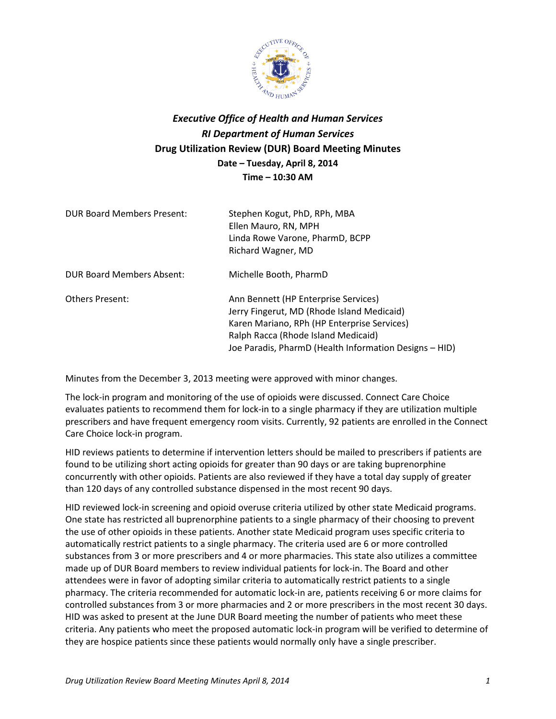

## *Executive Office of Health and Human Services RI Department of Human Services* **Drug Utilization Review (DUR) Board Meeting Minutes Date – Tuesday, April 8, 2014 Time – 10:30 AM**

| DUR Board Members Present: | Stephen Kogut, PhD, RPh, MBA<br>Ellen Mauro, RN, MPH<br>Linda Rowe Varone, PharmD, BCPP<br>Richard Wagner, MD                                                                                                                      |
|----------------------------|------------------------------------------------------------------------------------------------------------------------------------------------------------------------------------------------------------------------------------|
| DUR Board Members Absent:  | Michelle Booth, PharmD                                                                                                                                                                                                             |
| <b>Others Present:</b>     | Ann Bennett (HP Enterprise Services)<br>Jerry Fingerut, MD (Rhode Island Medicaid)<br>Karen Mariano, RPh (HP Enterprise Services)<br>Ralph Racca (Rhode Island Medicaid)<br>Joe Paradis, PharmD (Health Information Designs - HID) |

Minutes from the December 3, 2013 meeting were approved with minor changes.

The lock-in program and monitoring of the use of opioids were discussed. Connect Care Choice evaluates patients to recommend them for lock-in to a single pharmacy if they are utilization multiple prescribers and have frequent emergency room visits. Currently, 92 patients are enrolled in the Connect Care Choice lock-in program.

HID reviews patients to determine if intervention letters should be mailed to prescribers if patients are found to be utilizing short acting opioids for greater than 90 days or are taking buprenorphine concurrently with other opioids. Patients are also reviewed if they have a total day supply of greater than 120 days of any controlled substance dispensed in the most recent 90 days.

HID reviewed lock-in screening and opioid overuse criteria utilized by other state Medicaid programs. One state has restricted all buprenorphine patients to a single pharmacy of their choosing to prevent the use of other opioids in these patients. Another state Medicaid program uses specific criteria to automatically restrict patients to a single pharmacy. The criteria used are 6 or more controlled substances from 3 or more prescribers and 4 or more pharmacies. This state also utilizes a committee made up of DUR Board members to review individual patients for lock-in. The Board and other attendees were in favor of adopting similar criteria to automatically restrict patients to a single pharmacy. The criteria recommended for automatic lock-in are, patients receiving 6 or more claims for controlled substances from 3 or more pharmacies and 2 or more prescribers in the most recent 30 days. HID was asked to present at the June DUR Board meeting the number of patients who meet these criteria. Any patients who meet the proposed automatic lock-in program will be verified to determine of they are hospice patients since these patients would normally only have a single prescriber.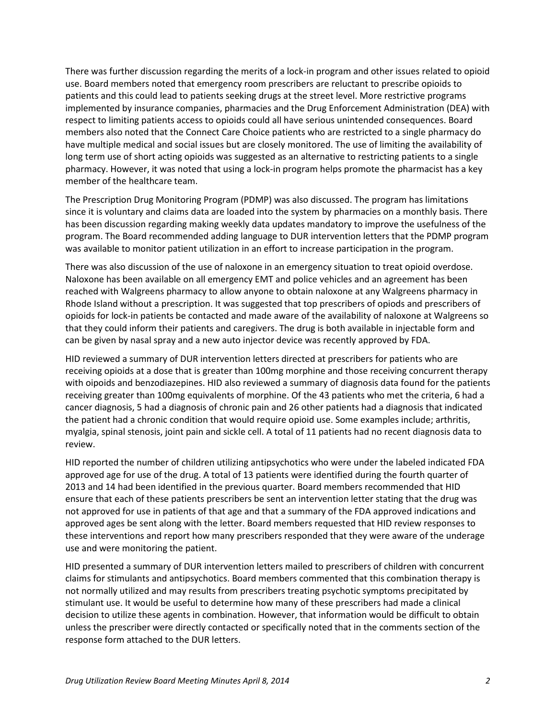There was further discussion regarding the merits of a lock-in program and other issues related to opioid use. Board members noted that emergency room prescribers are reluctant to prescribe opioids to patients and this could lead to patients seeking drugs at the street level. More restrictive programs implemented by insurance companies, pharmacies and the Drug Enforcement Administration (DEA) with respect to limiting patients access to opioids could all have serious unintended consequences. Board members also noted that the Connect Care Choice patients who are restricted to a single pharmacy do have multiple medical and social issues but are closely monitored. The use of limiting the availability of long term use of short acting opioids was suggested as an alternative to restricting patients to a single pharmacy. However, it was noted that using a lock-in program helps promote the pharmacist has a key member of the healthcare team.

The Prescription Drug Monitoring Program (PDMP) was also discussed. The program has limitations since it is voluntary and claims data are loaded into the system by pharmacies on a monthly basis. There has been discussion regarding making weekly data updates mandatory to improve the usefulness of the program. The Board recommended adding language to DUR intervention letters that the PDMP program was available to monitor patient utilization in an effort to increase participation in the program.

There was also discussion of the use of naloxone in an emergency situation to treat opioid overdose. Naloxone has been available on all emergency EMT and police vehicles and an agreement has been reached with Walgreens pharmacy to allow anyone to obtain naloxone at any Walgreens pharmacy in Rhode Island without a prescription. It was suggested that top prescribers of opiods and prescribers of opioids for lock-in patients be contacted and made aware of the availability of naloxone at Walgreens so that they could inform their patients and caregivers. The drug is both available in injectable form and can be given by nasal spray and a new auto injector device was recently approved by FDA.

HID reviewed a summary of DUR intervention letters directed at prescribers for patients who are receiving opioids at a dose that is greater than 100mg morphine and those receiving concurrent therapy with oipoids and benzodiazepines. HID also reviewed a summary of diagnosis data found for the patients receiving greater than 100mg equivalents of morphine. Of the 43 patients who met the criteria, 6 had a cancer diagnosis, 5 had a diagnosis of chronic pain and 26 other patients had a diagnosis that indicated the patient had a chronic condition that would require opioid use. Some examples include; arthritis, myalgia, spinal stenosis, joint pain and sickle cell. A total of 11 patients had no recent diagnosis data to review.

HID reported the number of children utilizing antipsychotics who were under the labeled indicated FDA approved age for use of the drug. A total of 13 patients were identified during the fourth quarter of 2013 and 14 had been identified in the previous quarter. Board members recommended that HID ensure that each of these patients prescribers be sent an intervention letter stating that the drug was not approved for use in patients of that age and that a summary of the FDA approved indications and approved ages be sent along with the letter. Board members requested that HID review responses to these interventions and report how many prescribers responded that they were aware of the underage use and were monitoring the patient.

HID presented a summary of DUR intervention letters mailed to prescribers of children with concurrent claims for stimulants and antipsychotics. Board members commented that this combination therapy is not normally utilized and may results from prescribers treating psychotic symptoms precipitated by stimulant use. It would be useful to determine how many of these prescribers had made a clinical decision to utilize these agents in combination. However, that information would be difficult to obtain unless the prescriber were directly contacted or specifically noted that in the comments section of the response form attached to the DUR letters.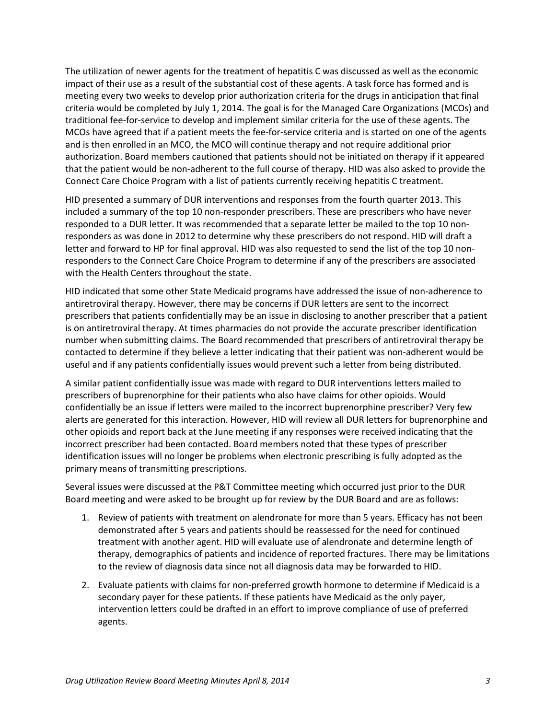The utilization of newer agents for the treatment of hepatitis C was discussed as well as the economic impact of their use as a result of the substantial cost of these agents. A task force has formed and is meeting every two weeks to develop prior authorization criteria for the drugs in anticipation that final criteria would be completed by July 1, 2014. The goal is for the Managed Care Organizations (MCOs) and traditional fee-for-service to develop and implement similar criteria for the use of these agents. The MCOs have agreed that if a patient meets the fee-for-service criteria and is started on one of the agents and is then enrolled in an MCO, the MCO will continue therapy and not require additional prior authorization. Board members cautioned that patients should not be initiated on therapy if it appeared that the patient would be non-adherent to the full course of therapy. HID was also asked to provide the Connect Care Choice Program with a list of patients currently receiving hepatitis C treatment.

HID presented a summary of DUR interventions and responses from the fourth quarter 2013. This included a summary of the top 10 non-responder prescribers. These are prescribers who have never responded to a DUR letter. It was recommended that a separate letter be mailed to the top 10 nonresponders as was done in 2012 to determine why these prescribers do not respond. HID will draft a letter and forward to HP for final approval. HID was also requested to send the list of the top 10 nonresponders to the Connect Care Choice Program to determine if any of the prescribers are associated with the Health Centers throughout the state.

HID indicated that some other State Medicaid programs have addressed the issue of non-adherence to antiretroviral therapy. However, there may be concerns if DUR letters are sent to the incorrect prescribers that patients confidentially may be an issue in disclosing to another prescriber that a patient is on antiretroviral therapy. At times pharmacies do not provide the accurate prescriber identification number when submitting claims. The Board recommended that prescribers of antiretroviral therapy be contacted to determine if they believe a letter indicating that their patient was non-adherent would be useful and if any patients confidentially issues would prevent such a letter from being distributed.

A similar patient confidentially issue was made with regard to DUR interventions letters mailed to prescribers of buprenorphine for their patients who also have claims for other opioids. Would confidentially be an issue if letters were mailed to the incorrect buprenorphine prescriber? Very few alerts are generated for this interaction. However, HID will review all DUR letters for buprenorphine and other opioids and report back at the June meeting if any responses were received indicating that the incorrect prescriber had been contacted. Board members noted that these types of prescriber identification issues will no longer be problems when electronic prescribing is fully adopted as the primary means of transmitting prescriptions.

Several issues were discussed at the P&T Committee meeting which occurred just prior to the DUR Board meeting and were asked to be brought up for review by the DUR Board and are as follows:

- 1. Review of patients with treatment on alendronate for more than 5 years. Efficacy has not been demonstrated after 5 years and patients should be reassessed for the need for continued treatment with another agent. HID will evaluate use of alendronate and determine length of therapy, demographics of patients and incidence of reported fractures. There may be limitations to the review of diagnosis data since not all diagnosis data may be forwarded to HID.
- 2. Evaluate patients with claims for non-preferred growth hormone to determine if Medicaid is a secondary payer for these patients. If these patients have Medicaid as the only payer, intervention letters could be drafted in an effort to improve compliance of use of preferred agents.